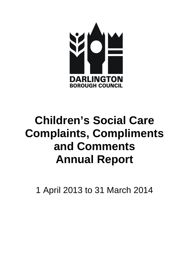

# **Children's Social Care Complaints, Compliments and Comments Annual Report**

1 April 2013 to 31 March 2014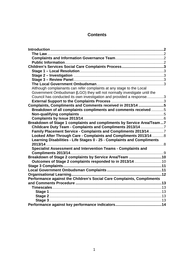# **Contents**

<span id="page-1-0"></span>

| Although complainants can refer complaints at any stage to the Local    |  |
|-------------------------------------------------------------------------|--|
| Government Ombudsman (LGO) they will not normally investigate until the |  |
| Council has conducted its own investigation and provided a response3    |  |
|                                                                         |  |
| Complaints, Compliments and Comments received in 2013/14 5              |  |
| Breakdown of all complaints compliments and comments received5          |  |
|                                                                         |  |
|                                                                         |  |
| Breakdown of Stage 1 complaints and compliments by Service Area/Team7   |  |
| Childcare Duty Team - Complaints and Compliments 2013/14 7              |  |
| Family Placement Service - Complaints and Compliments 2013/147          |  |
| Looked After Through Care - Complaints and Compliments 2013/14  8       |  |
| Learning Disabilities - Life Stages 0 - 25 - Complaints and Compliments |  |
|                                                                         |  |
| Specialist Assessment and Intervention Teams - Complaints and           |  |
|                                                                         |  |
| Breakdown of Stage 2 complaints by Service Area/Team 10                 |  |
| Outcomes of Stage 2 complaints responded to in 2013/14 10               |  |
|                                                                         |  |
|                                                                         |  |
|                                                                         |  |
| Performance against the Children's Social Care Complaints, Compliments  |  |
|                                                                         |  |
|                                                                         |  |
|                                                                         |  |
|                                                                         |  |
|                                                                         |  |
|                                                                         |  |
|                                                                         |  |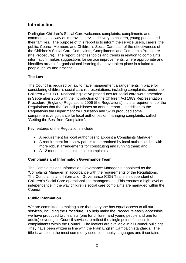# **Introduction**

Darlington Children's Social Care welcomes complaints, compliments and comments as a way of improving service delivery to children, young people and their families. The purpose of this report is to inform the service users, carers, the public, Council Members and Children's Social Care staff of the effectiveness of the Children's Social Care Complaints, Compliments and Comments Procedure (the Procedure). The report identifies topics and trends in relation to complaints information, makes suggestions for service improvements, where appropriate and identifies areas of organisational learning that have taken place in relation to people, policy and process.

## <span id="page-2-0"></span>**The Law**

The Council is required by law to have management arrangements in place for considering children's social care representations, including complaints, under the Children Act 1989. National legislative procedures for social care were amended in September 2006 with the introduction of the Children Act 1989 Representation Procedure (England) Regulations 2006 (the Regulations). It is a requirement of the Regulations that the Council publishes an annual report. In addition to the Regulations the Department for Education and Skills produced some comprehensive guidance for local authorities on managing complaints, called 'Getting the Best from Complaints'.

Key features of the Regulations include:

- A requirement for local authorities to appoint a Complaints Manager;
- A requirement for review panels to be retained by local authorities but with more robust arrangements for constituting and running them; and
- A 12 month time limit to make complaints.

## <span id="page-2-1"></span>**Complaints and Information Governance Team**

The Complaints and Information Governance Manager is appointed as the 'Complaints Manager' in accordance with the requirements of the Regulations. The Complaints and Information Governance (CIG) Team is independent of Children's Social Care operational line management. This ensures a high level of independence in the way children's social care complaints are managed within the Council.

## <span id="page-2-2"></span>**Public Information**

We are committed to making sure that everyone has equal access to all our services, including the Procedure. To help make the Procedure easily accessible we have produced two leaflets (one for children and young people and one for adults) covering all Council services to reflect the single point of access for complainants within the Council. The leaflets are available in all Council buildings. They have been written in line with the Plain English Campaign standards. The title is written in the most commonly used community languages and it contains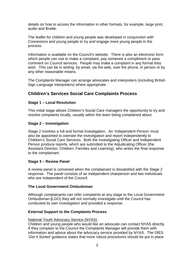details on how to access the information in other formats, for example, large print, audio and Braille.

The leaflet for children and young people was developed in conjunction with Connexions and young people to try and engage more young people in the process.

Information is available on the Council's website. There is also an electronic form which people can use to make a complaint, pay someone a compliment or pass comment on Council services. People may make a complaint in any format they wish. This can be in writing, by email, via the web, over the phone, in person or by any other reasonable means.

The Complaints Manager can arrange advocates and interpreters (including British Sign Language interpreters) where appropriate.

# <span id="page-3-0"></span>**Children's Services Social Care Complaints Process**

## <span id="page-3-1"></span>**Stage 1 – Local Resolution**

This initial stage allows Children's Social Care managers the opportunity to try and resolve complaints locally, usually within the team being complained about.

## <span id="page-3-2"></span>**Stage 2 – Investigation**

Stage 2 involves a full and formal investigation. An 'Independent Person' must also be appointed to oversee the investigation and report independently to Children's Social Care Services. Both the Investigating Officer and Independent Person produce reports, which are submitted to the Adjudicating Officer (the Assistant Director, Children, Families and Learning), who writes the final response to the complainant.

## <span id="page-3-3"></span>**Stage 3 – Review Panel**

A review panel is convened when the complainant is dissatisfied with the Stage 2 response. The panel consists of an independent chairperson and two individuals who are independent of the Council.

## <span id="page-3-4"></span>**The Local Government Ombudsman**

<span id="page-3-5"></span>Although complainants can refer complaints at any stage to the Local Government Ombudsman **(**LGO) they will not normally investigate until the Council has conducted its own investigation and provided a response.

## <span id="page-3-6"></span>**External Support to the Complaints Process**

## National Youth Advocacy Service (NYAS)

Children and young people who would like an advocate can contact NYAS directly. If they complain to the Council the Complaints Manager will provide them with information and advice about the advocacy service provided by NYAS. The DfES '*Get it Sorted'* guidance states that more robust procedures should be put in place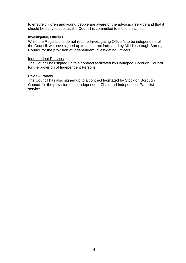to ensure children and young people are aware of the advocacy service and that it should be easy to access; the Council is committed to these principles.

#### Investigating Officers

While the Regulations do not require Investigating Officer's to be independent of the Council, we have signed up to a contract facilitated by Middlesbrough Borough Council for the provision of Independent Investigating Officers.

#### Independent Persons

The Council has signed up to a contract facilitated by Hartlepool Borough Council for the provision of Independent Persons.

#### Review Panels

The Council has also signed up to a contract facilitated by Stockton Borough Council for the provision of an Independent Chair and Independent Panellist service.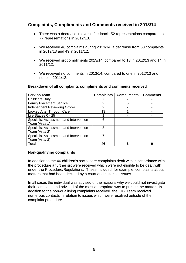# <span id="page-5-0"></span>**Complaints, Compliments and Comments received in 2013/14**

- There was a decrease in overall feedback, 52 representations compared to 77 representations in 2012/13.
- We received 46 complaints during 2013/14, a decrease from 63 complaints in 2012/13 and 49 in 2011/12.
- We received six compliments 2013/14, compared to 13 in 2012/13 and 14 in 2011/12.
- We received no comments in 2013/14, compared to one in 2012/13 and none in 2011/12.

#### <span id="page-5-1"></span>**Breakdown of all complaints compliments and comments received**

| Service/Team                           | <b>Complaints</b> | <b>Compliments</b> | <b>Comments</b> |
|----------------------------------------|-------------------|--------------------|-----------------|
| <b>Childcare Duty</b>                  |                   |                    |                 |
| <b>Family Placement Service</b>        | 2                 | 5                  |                 |
| Independent Reviewing Officer          | 2                 |                    |                 |
| Looked After Through Care              | 13                |                    |                 |
| Life Stages 0 - 25                     |                   |                    |                 |
| Specialist Assessment and Intervention | 6                 |                    |                 |
| Team (Area 1)                          |                   |                    |                 |
| Specialist Assessment and Intervention | 8                 |                    |                 |
| Team (Area 2)                          |                   |                    |                 |
| Specialist Assessment and Intervention |                   |                    |                 |
| Team (Area 3)                          |                   |                    |                 |
| <b>Total</b>                           | 46                |                    |                 |

#### <span id="page-5-2"></span>**Non-qualifying complaints**

In addition to the 46 children's social care complaints dealt with in accordance with the procedure a further six were received which were not eligible to be dealt with under the Procedure/Regulations. These included, for example, complaints about matters that had been decided by a court and historical issues.

In all cases the individual was advised of the reasons why we could not investigate their complaint and advised of the most appropriate way to pursue the matter. In addition to the non-qualifying complaints received, the CIG Team received numerous contacts in relation to issues which were resolved outside of the complaint procedure.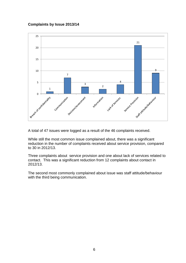#### <span id="page-6-0"></span>**Complaints by Issue 2013/14**



A total of 47 issues were logged as a result of the 46 complaints received.

While still the most common issue complained about, there was a significant reduction in the number of complaints received about service provision, compared to 30 in 2012/13.

Three complaints about service provision and one about lack of services related to contact. This was a significant reduction from 12 complaints about contact in 2012/13.

The second most commonly complained about issue was staff attitude/behaviour with the third being communication.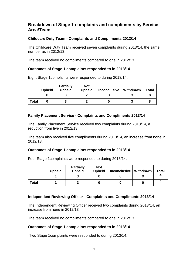# <span id="page-7-0"></span>**Breakdown of Stage 1 complaints and compliments by Service Area/Team**

## <span id="page-7-1"></span>**Childcare Duty Team - Complaints and Compliments 2013/14**

The Childcare Duty Team received seven complaints during 2013/14, the same number as in 2012/13.

The team received no compliments compared to one in 2012/13.

## **Outcomes of Stage 1 complaints responded to in 2013/14**

Eight Stage 1complaints were responded to during 2013/14.

**Partially Not** 

|              | <b>Upheld</b> | <b>Partially</b><br><b>Upheld</b> | Not<br><b>Upheld</b> | <b>Inconclusive</b> | Withdrawn | <b>Total</b> |
|--------------|---------------|-----------------------------------|----------------------|---------------------|-----------|--------------|
|              |               |                                   |                      |                     |           |              |
| <b>Total</b> |               |                                   |                      |                     |           |              |

## <span id="page-7-2"></span>**Family Placement Service - Complaints and Compliments 2013/14**

The Family Placement Service received two complaints during 2013/14, a reduction from five in 2012/13.

The team also received five compliments during 2013/14, an increase from none in 2012/13.

## **Outcomes of Stage 1 complaints responded to in 2013/14**

Four Stage 1complaints were responded to during 2013/14.

|              | Upheld | <b>Partially</b><br><b>Upheld</b> | <b>Not</b><br><b>Upheld</b> | <b>Inconclusive</b> | Withdrawn | <b>Total</b> |
|--------------|--------|-----------------------------------|-----------------------------|---------------------|-----------|--------------|
|              |        |                                   |                             |                     |           |              |
| <b>Total</b> |        |                                   |                             |                     |           |              |

## **Independent Reviewing Officer - Complaints and Compliments 2013/14**

The Independent Reviewing Officer received two complaints during 2013/14, an increase from none in 2012/13.

The team received no compliments compared to one in 2012/13.

## **Outcomes of Stage 1 complaints responded to in 2013/14**

Two Stage 1complaints were responded to during 2013/14.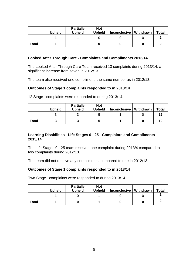|              | Upheld | <b>Partially</b><br><b>Upheld</b> | <b>Not</b><br><b>Upheld</b> | <b>Inconclusive</b> | Withdrawn | <b>Total</b> |
|--------------|--------|-----------------------------------|-----------------------------|---------------------|-----------|--------------|
|              |        |                                   |                             |                     |           |              |
| <b>Total</b> |        |                                   |                             |                     |           |              |

#### <span id="page-8-0"></span>**Looked After Through Care - Complaints and Compliments 2013/14**

The Looked After Through Care Team received 13 complaints during 2013/14, a significant increase from seven in 2012/13.

The team also received one compliment, the same number as in 2012/13.

#### **Outcomes of Stage 1 complaints responded to in 2013/14**

|              | <b>Upheld</b> | <b>Partially</b><br><b>Upheld</b> | <b>Not</b><br><b>Upheld</b> | <b>Inconclusive</b> | Withdrawn | <b>Total</b> |
|--------------|---------------|-----------------------------------|-----------------------------|---------------------|-----------|--------------|
|              |               |                                   | 5                           |                     |           | 12           |
| <b>Total</b> |               |                                   | J                           |                     |           | 12           |

12 Stage 1complaints were responded to during 2013/14.

#### <span id="page-8-1"></span>**Learning Disabilities - Life Stages 0 - 25 - Complaints and Compliments 2013/14**

The Life Stages 0 - 25 team received one complaint during 2013/4 compared to two complaints during 2012/13.

The team did not receive any compliments, compared to one in 2012/13.

#### **Outcomes of Stage 1 complaints responded to in 2013/14**

Two Stage 1complaints were responded to during 2013/14.

|              | <b>Upheld</b> | <b>Partially</b><br><b>Upheld</b> | <b>Not</b><br><b>Upheld</b> | <b>Inconclusive</b> | Withdrawn | <b>Total</b> |
|--------------|---------------|-----------------------------------|-----------------------------|---------------------|-----------|--------------|
|              |               |                                   |                             |                     |           |              |
| <b>Total</b> |               |                                   |                             |                     |           |              |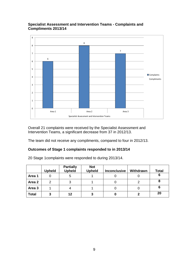#### <span id="page-9-0"></span>**Specialist Assessment and Intervention Teams - Complaints and Compliments 2013/14**



Overall 21 complaints were received by the Specialist Assessment and Intervention Teams, a significant decrease from 37 in 2012/13.

The team did not receive any compliments, compared to four in 2012/13.

## **Outcomes of Stage 1 complaints responded to in 2013/14**

20 Stage 1complaints were responded to during 2013/14.

|              | <b>Upheld</b> | <b>Partially</b><br><b>Upheld</b> | <b>Not</b><br><b>Upheld</b> | <b>Inconclusive</b> | Withdrawn | <b>Total</b> |
|--------------|---------------|-----------------------------------|-----------------------------|---------------------|-----------|--------------|
| Area 1       |               | 5                                 |                             |                     |           | 6            |
| Area 2       | っ             | 3                                 |                             |                     |           |              |
| Area 3       |               |                                   |                             |                     |           | 6            |
| <b>Total</b> | 3             | 12                                | 3                           | 0                   |           | 20           |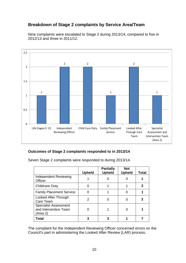# <span id="page-10-0"></span>**Breakdown of Stage 2 complaints by Service Area/Team**

Nine complaints were escalated to Stage 2 during 2013/14, compared to five in 2012/13 and three in 2011/12.



## <span id="page-10-1"></span>**Outcomes of Stage 2 complaints responded to in 2013/14**

|                                                                   | <b>Upheld</b> | <b>Partially</b><br><b>Upheld</b> | <b>Not</b><br><b>Upheld</b> | Total       |
|-------------------------------------------------------------------|---------------|-----------------------------------|-----------------------------|-------------|
| Independent Reviewing<br>Officer                                  |               |                                   |                             |             |
| <b>Childcare Duty</b>                                             |               |                                   |                             | $\mathbf 2$ |
| <b>Family Placement Service</b>                                   |               |                                   |                             |             |
| Looked After Through<br>Care Team                                 | 2             |                                   |                             | 2           |
| <b>Specialist Assessment</b><br>and Intervention Team<br>(Area 2) |               |                                   |                             |             |
| Total                                                             |               |                                   |                             |             |

Seven Stage 2 complaints were responded to during 2013/14.

The complaint for the Independent Reviewing Officer concerned errors on the Council's part in administering the Looked After Review (LAR) process.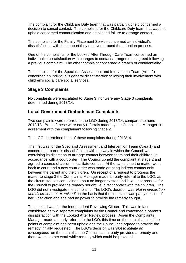The complaint for the Childcare Duty team that was partially upheld concerned a decision to cancel contact. The complaint for the Childcare Duty team that was not upheld concerned communication and an alleged failure to arrange contact.

The complaint for the Family Placement Service concerned an individual's dissatisfaction with the support they received around the adoption process.

One of the complaints for the Looked After Through Care Team concerned an individual's dissatisfaction with changes to contact arrangements agreed following a previous complaint. The other complaint concerned a breach of confidentiality.

The complaint for the Specialist Assessment and Intervention Team (Area 2) concerned an individual's general dissatisfaction following their involvement with children's social care social services.

# <span id="page-11-0"></span>**Stage 3 Complaints**

No complaints were escalated to Stage 3, nor were any Stage 3 complaints determined during 2013/14.

## <span id="page-11-1"></span>**Local Government Ombudsman Complaints**

Two complaints were referred to the LGO during 2013/14, compared to none 2012/13. Both of these were early referrals made by the Complaints Manager, in agreement with the complainant following Stage 2.

The LGO determined both of these complaints during 2013/14.

The first was for the Specialist Assessment and Intervention Team (Area 1) and concerned a parent's dissatisfaction with the way in which the Council was exercising its discretion to arrange contact between them and their children; in accordance with a court order. The Council upheld the complaint at stage 2 and agreed a course of action to facilitate contact. At the same time the matter went back to court and a new court order was made granting indirect contact only between the parent and the children. On receipt of a request to progress the matter to stage 3 the Complaints Manager made an early referral to the LGO, as the circumstances complained about no longer existed and it was not possible for the Council to provide the remedy sought i.e. direct contact with the children. The LGO did not investigate the complaint. The LGO's decision was *'Not in jurisdiction and discretion not exercised'* on the basis that the complaint was partly outside of her jurisdiction and she had no power to provide the remedy sought.

The second was for the Independent Reviewing Officer. This was in fact considered as two separate complaints by the Council and concerned a parent's dissatisfaction with the Looked After Review process. Again the Complaints Manager made an early referral to the LGO, this time on the basis that all of the points of complaint had been upheld and the Council had agreed to provide the remedy initially requested. The LGO's decision was '*Not to initiate an Investigation'* on the basis that the Council had already provided a remedy and there was no other worthwhile remedy which could be provided.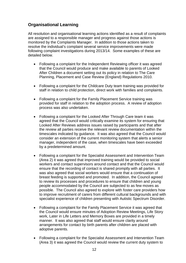# <span id="page-12-0"></span>**Organisational Learning**

All resolution and organisational learning actions identified as a result of complaints are assigned to a responsible manager and progress against those actions is monitored by the Complaints Manager. In addition to those actions taken to resolve the individual's complaint several service improvements were made following complaint investigations during 2013/14. Some examples of these are detailed below.

- Following a complaint for the Independent Reviewing officer it was agreed that the Council would produce and make available to parents of Looked After Children a document setting out its policy in relation to The Care Planning, Placement and Case Review (England) Regulations 2010.
- Following a complaint for the Childcare Duty team training was provided for staff in relation to child protection, direct work with families and complaints.
- Following a complaint for the Family Placement Service training was provided for staff in relation to the adoption process. A review of adoption process was also undertaken.
- Following a complaint for the Looked After Through Care team it was agreed that the Council would critically examine its system for ensuring that Looked After Reviews address issues raised by participants and that after the review all parties receive the relevant review documentation within the timescales indicated by guidance. It was also agreed that the Council would consider an extension of the current monitoring system that alerts a senior manager, independent of the case, when timescales have been exceeded by a predetermined amount.
- Following a complaint for the Specialist Assessment and Intervention Team (Area 2) it was agreed that improved training would be provided to social workers and contact supervisors around contact and that the Council would ensure that the recording of contact is shared promptly with all parties. It was also agreed that social workers would ensure that a continuation of breast feeding is supported and promoted. In addition, the Council agreed to review its processes and procedures to ensure that children and young people accommodated by the Council are subjected to as few moves as possible. The Council also agreed to explore with foster care providers how to improve recruitment of carers from different cultural backgrounds and with specialist experience of children presenting with Autistic Spectrum Disorder.
- Following a complaint for the Family Placement Service it was agreed that the Council would ensure minutes of Adoption Review Meetings, Life Story work, Later in Life Letters and Memory Boxes are provided in a timely manner. It was also agreed that staff would ensure clarity around arrangements for contact by birth parents after children are placed with adoptive parents.
- Following a complaint for the Specialist Assessment and Intervention Team (Area 3) it was agreed the Council would review the current duty system to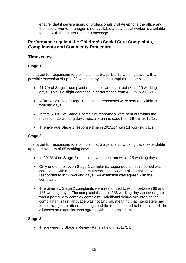ensure that if service users or professionals visit /telephone the office and their social worker/manager is not available a duty social worker is available to deal with the matter or take a message.

## <span id="page-13-0"></span>**Performance against the Children's Social Care Complaints, Compliments and Comments Procedure**

## <span id="page-13-1"></span>**Timescales**

## <span id="page-13-2"></span>**Stage 1**

The target for responding to a complaint at Stage 1 is 10 working days, with a possible extension of up to 20 working days if the complaint is complex.

- 41.7% of Stage 1 complaint responses were sent out within 10 working days. This is a slight decrease in performance from 42.6% in 2012/13.
- A further 29.1% of Stage 1 complaint responses were sent out within 20 working days.
- In total 70.8% of Stage 1 complaint responses were sent out within the maximum 20 working day timescale, an increase from 66% in 2012/13.
- The average Stage 1 response time in 2013/14 was 21 working days.

## <span id="page-13-3"></span>**Stage 2**

The target for responding to a complaint at Stage 2 is 25 working days, extendable up to a maximum of 65 working days.

- In 2013/14 no Stage 2 responses were sent out within 25 working days.
- Only one of the seven Stage 2 complaints responded to in this period was completed within the maximum timescale allowed. This complaint was responded to in 54 working days. An extension was agreed with the complainant.
- The other six Stage 2 complaints were responded to within between 66 and 186 working days. The complaint that took 186 working days to investigate was a particularly complex complaint. Additional delays occurred as the complainant's first language was not English, meaning that interpreters had to be arranged to attend meetings and the response had to be translated. In all cases an extension was agreed with the complainant.

## <span id="page-13-4"></span>**Stage 3**

• There were no Stage 3 Review Panels held in 2013/14.